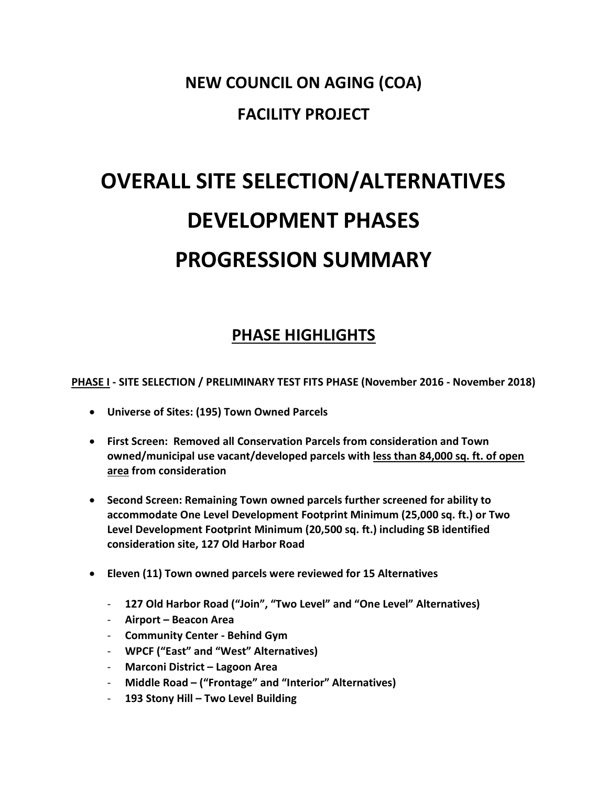## NEW COUNCIL ON AGING (COA) FACILITY PROJECT

# OVERALL SITE SELECTION/ALTERNATIVES DEVELOPMENT PHASES PROGRESSION SUMMARY

## PHASE HIGHLIGHTS

PHASE I - SITE SELECTION / PRELIMINARY TEST FITS PHASE (November 2016 - November 2018)

- Universe of Sites: (195) Town Owned Parcels
- First Screen: Removed all Conservation Parcels from consideration and Town owned/municipal use vacant/developed parcels with less than 84,000 sq. ft. of open area from consideration
- Second Screen: Remaining Town owned parcels further screened for ability to accommodate One Level Development Footprint Minimum (25,000 sq. ft.) or Two Level Development Footprint Minimum (20,500 sq. ft.) including SB identified consideration site, 127 Old Harbor Road
- Eleven (11) Town owned parcels were reviewed for 15 Alternatives
	- 127 Old Harbor Road ("Join", "Two Level" and "One Level" Alternatives)
	- Airport Beacon Area
	- Community Center Behind Gym
	- WPCF ("East" and "West" Alternatives)
	- Marconi District Lagoon Area
	- Middle Road ("Frontage" and "Interior" Alternatives)
	- 193 Stony Hill Two Level Building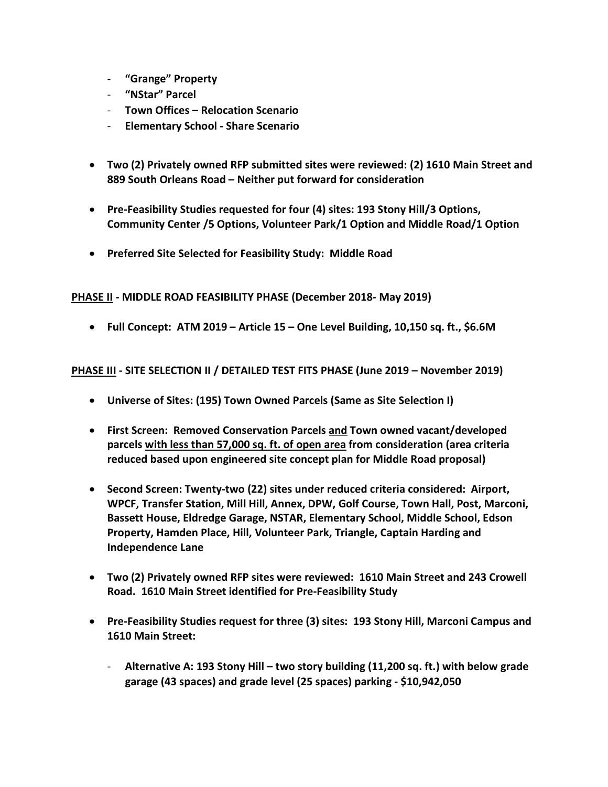- "Grange" Property
- "NStar" Parcel
- Town Offices Relocation Scenario
- Elementary School Share Scenario
- Two (2) Privately owned RFP submitted sites were reviewed: (2) 1610 Main Street and 889 South Orleans Road – Neither put forward for consideration
- Pre-Feasibility Studies requested for four (4) sites: 193 Stony Hill/3 Options, Community Center /5 Options, Volunteer Park/1 Option and Middle Road/1 Option
- Preferred Site Selected for Feasibility Study: Middle Road

PHASE II - MIDDLE ROAD FEASIBILITY PHASE (December 2018- May 2019)

Full Concept: ATM 2019 – Article 15 – One Level Building, 10,150 sq. ft., \$6.6M

PHASE III - SITE SELECTION II / DETAILED TEST FITS PHASE (June 2019 – November 2019)

- Universe of Sites: (195) Town Owned Parcels (Same as Site Selection I)
- First Screen: Removed Conservation Parcels and Town owned vacant/developed parcels with less than 57,000 sq. ft. of open area from consideration (area criteria reduced based upon engineered site concept plan for Middle Road proposal)
- Second Screen: Twenty-two (22) sites under reduced criteria considered: Airport, WPCF, Transfer Station, Mill Hill, Annex, DPW, Golf Course, Town Hall, Post, Marconi, Bassett House, Eldredge Garage, NSTAR, Elementary School, Middle School, Edson Property, Hamden Place, Hill, Volunteer Park, Triangle, Captain Harding and Independence Lane
- Two (2) Privately owned RFP sites were reviewed: 1610 Main Street and 243 Crowell Road. 1610 Main Street identified for Pre-Feasibility Study
- Pre-Feasibility Studies request for three (3) sites: 193 Stony Hill, Marconi Campus and 1610 Main Street:
	- Alternative A: 193 Stony Hill two story building (11,200 sq. ft.) with below grade garage (43 spaces) and grade level (25 spaces) parking - \$10,942,050